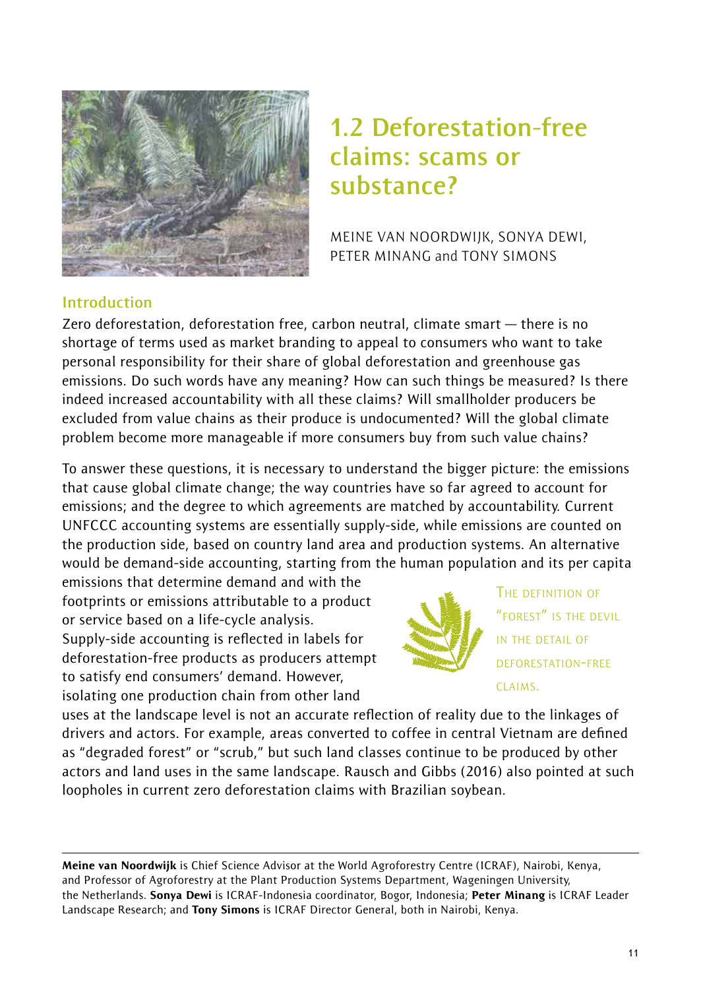

# **1.2 Deforestation-free claims: scams or substance?**

MEINE VAN NOORDWIJK, SONYA DEWI, PETER MINANG and TONY SIMONS

## **Introduction**

Zero deforestation, deforestation free, carbon neutral, climate smart — there is no shortage of terms used as market branding to appeal to consumers who want to take personal responsibility for their share of global deforestation and greenhouse gas emissions. Do such words have any meaning? How can such things be measured? Is there indeed increased accountability with all these claims? Will smallholder producers be excluded from value chains as their produce is undocumented? Will the global climate problem become more manageable if more consumers buy from such value chains?

To answer these questions, it is necessary to understand the bigger picture: the emissions that cause global climate change; the way countries have so far agreed to account for emissions; and the degree to which agreements are matched by accountability. Current UNFCCC accounting systems are essentially supply-side, while emissions are counted on the production side, based on country land area and production systems. An alternative would be demand-side accounting, starting from the human population and its per capita

emissions that determine demand and with the footprints or emissions attributable to a product or service based on a life-cycle analysis. Supply-side accounting is reflected in labels for deforestation-free products as producers attempt to satisfy end consumers' demand. However, isolating one production chain from other land



THE DEFINITION OF "FOREST" IS THE DEVIL IN THE DETAIL OF DEFORESTATION-FREE CLAIMS.

uses at the landscape level is not an accurate reflection of reality due to the linkages of drivers and actors. For example, areas converted to coffee in central Vietnam are defined as "degraded forest" or "scrub," but such land classes continue to be produced by other actors and land uses in the same landscape. Rausch and Gibbs (2016) also pointed at such loopholes in current zero deforestation claims with Brazilian soybean.

Meine van Noordwijk is Chief Science Advisor at the World Agroforestry Centre (ICRAF), Nairobi, Kenya, and Professor of Agroforestry at the Plant Production Systems Department, Wageningen University, the Netherlands. Sonya Dewi is ICRAF-Indonesia coordinator, Bogor, Indonesia; Peter Minang is ICRAF Leader Landscape Research; and Tony Simons is ICRAF Director General, both in Nairobi, Kenya.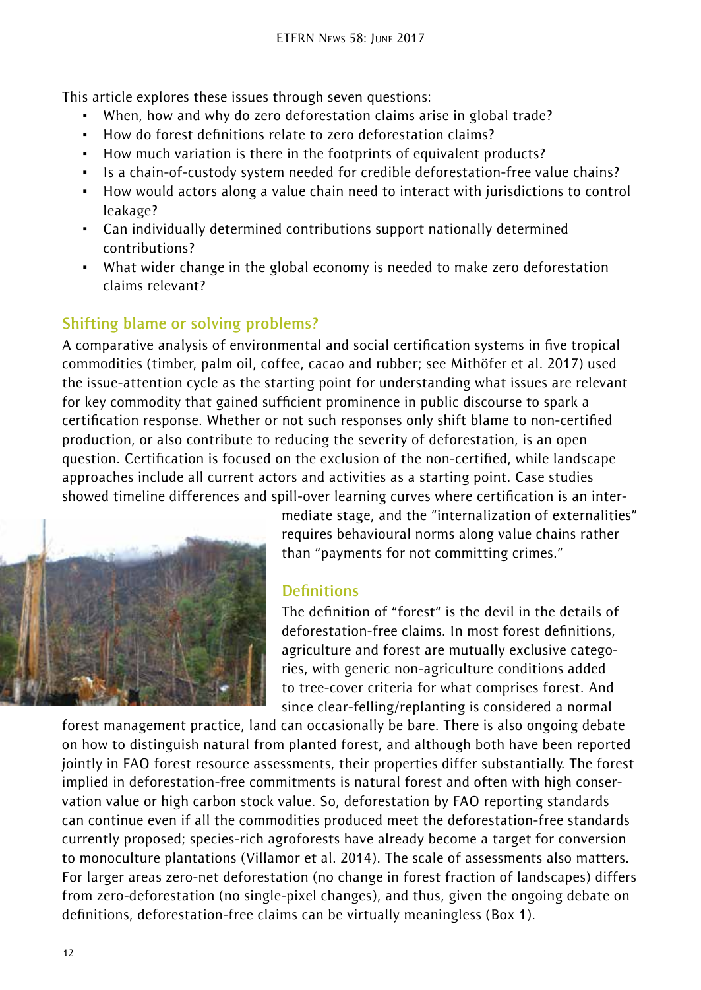This article explores these issues through seven questions:

- ~ When, how and why do zero deforestation claims arise in global trade?
- ~ How do forest definitions relate to zero deforestation claims?
- ~ How much variation is there in the footprints of equivalent products?
- ~ Is a chain-of-custody system needed for credible deforestation-free value chains?
- ~ How would actors along a value chain need to interact with jurisdictions to control leakage?
- ~ Can individually determined contributions support nationally determined contributions?
- ~ What wider change in the global economy is needed to make zero deforestation claims relevant?

# **Shifting blame or solving problems?**

A comparative analysis of environmental and social certification systems in five tropical commodities (timber, palm oil, coffee, cacao and rubber; see Mithöfer et al. 2017) used the issue-attention cycle as the starting point for understanding what issues are relevant for key commodity that gained sufficient prominence in public discourse to spark a certification response. Whether or not such responses only shift blame to non-certified production, or also contribute to reducing the severity of deforestation, is an open question. Certification is focused on the exclusion of the non-certified, while landscape approaches include all current actors and activities as a starting point. Case studies showed timeline differences and spill-over learning curves where certification is an inter-



mediate stage, and the "internalization of externalities" requires behavioural norms along value chains rather than "payments for not committing crimes."

## **Definitions**

The definition of "forest" is the devil in the details of deforestation-free claims. In most forest definitions, agriculture and forest are mutually exclusive categories, with generic non-agriculture conditions added to tree-cover criteria for what comprises forest. And since clear-felling/replanting is considered a normal

forest management practice, land can occasionally be bare. There is also ongoing debate on how to distinguish natural from planted forest, and although both have been reported jointly in FAO forest resource assessments, their properties differ substantially. The forest implied in deforestation-free commitments is natural forest and often with high conservation value or high carbon stock value. So, deforestation by FAO reporting standards can continue even if all the commodities produced meet the deforestation-free standards currently proposed; species-rich agroforests have already become a target for conversion to monoculture plantations (Villamor et al. 2014). The scale of assessments also matters. For larger areas zero-net deforestation (no change in forest fraction of landscapes) differs from zero-deforestation (no single-pixel changes), and thus, given the ongoing debate on definitions, deforestation-free claims can be virtually meaningless (Box 1).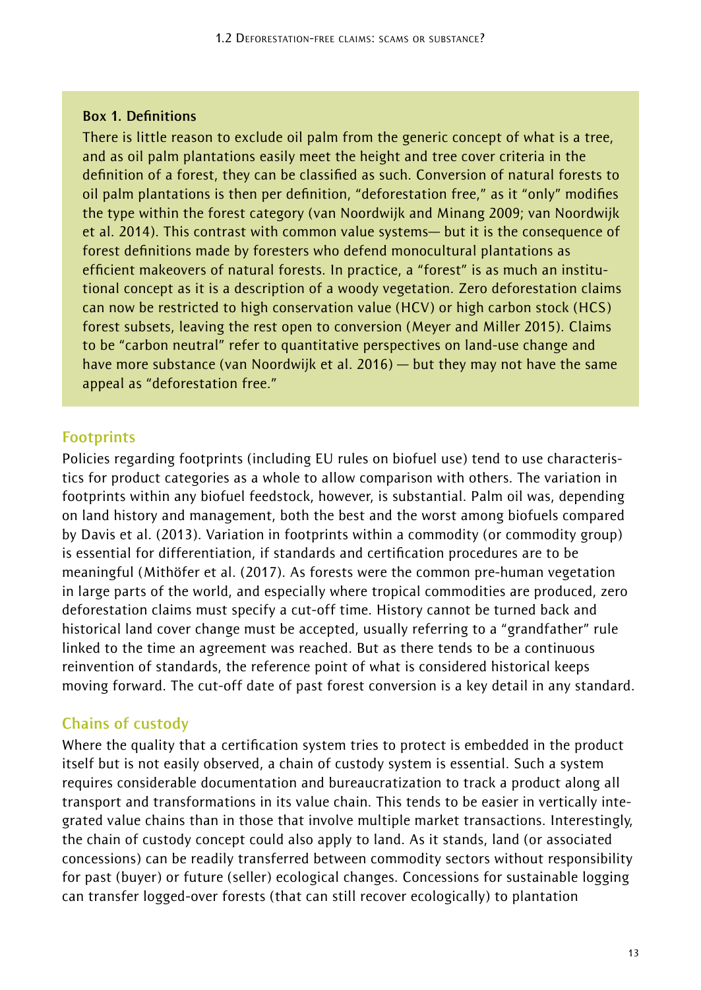#### **Box 1. Definitions**

There is little reason to exclude oil palm from the generic concept of what is a tree, and as oil palm plantations easily meet the height and tree cover criteria in the definition of a forest, they can be classified as such. Conversion of natural forests to oil palm plantations is then per definition, "deforestation free," as it "only" modifies the type within the forest category (van Noordwijk and Minang 2009; van Noordwijk et al. 2014). This contrast with common value systems— but it is the consequence of forest definitions made by foresters who defend monocultural plantations as efficient makeovers of natural forests. In practice, a "forest" is as much an institutional concept as it is a description of a woody vegetation. Zero deforestation claims can now be restricted to high conservation value (HCV) or high carbon stock (HCS) forest subsets, leaving the rest open to conversion (Meyer and Miller 2015). Claims to be "carbon neutral" refer to quantitative perspectives on land-use change and have more substance (van Noordwijk et al. 2016) — but they may not have the same appeal as "deforestation free."

#### **Footprints**

Policies regarding footprints (including EU rules on biofuel use) tend to use characteristics for product categories as a whole to allow comparison with others. The variation in footprints within any biofuel feedstock, however, is substantial. Palm oil was, depending on land history and management, both the best and the worst among biofuels compared by Davis et al. (2013). Variation in footprints within a commodity (or commodity group) is essential for differentiation, if standards and certification procedures are to be meaningful (Mithöfer et al. (2017). As forests were the common pre-human vegetation in large parts of the world, and especially where tropical commodities are produced, zero deforestation claims must specify a cut-off time. History cannot be turned back and historical land cover change must be accepted, usually referring to a "grandfather" rule linked to the time an agreement was reached. But as there tends to be a continuous reinvention of standards, the reference point of what is considered historical keeps moving forward. The cut-off date of past forest conversion is a key detail in any standard.

#### **Chains of custody**

Where the quality that a certification system tries to protect is embedded in the product itself but is not easily observed, a chain of custody system is essential. Such a system requires considerable documentation and bureaucratization to track a product along all transport and transformations in its value chain. This tends to be easier in vertically integrated value chains than in those that involve multiple market transactions. Interestingly, the chain of custody concept could also apply to land. As it stands, land (or associated concessions) can be readily transferred between commodity sectors without responsibility for past (buyer) or future (seller) ecological changes. Concessions for sustainable logging can transfer logged-over forests (that can still recover ecologically) to plantation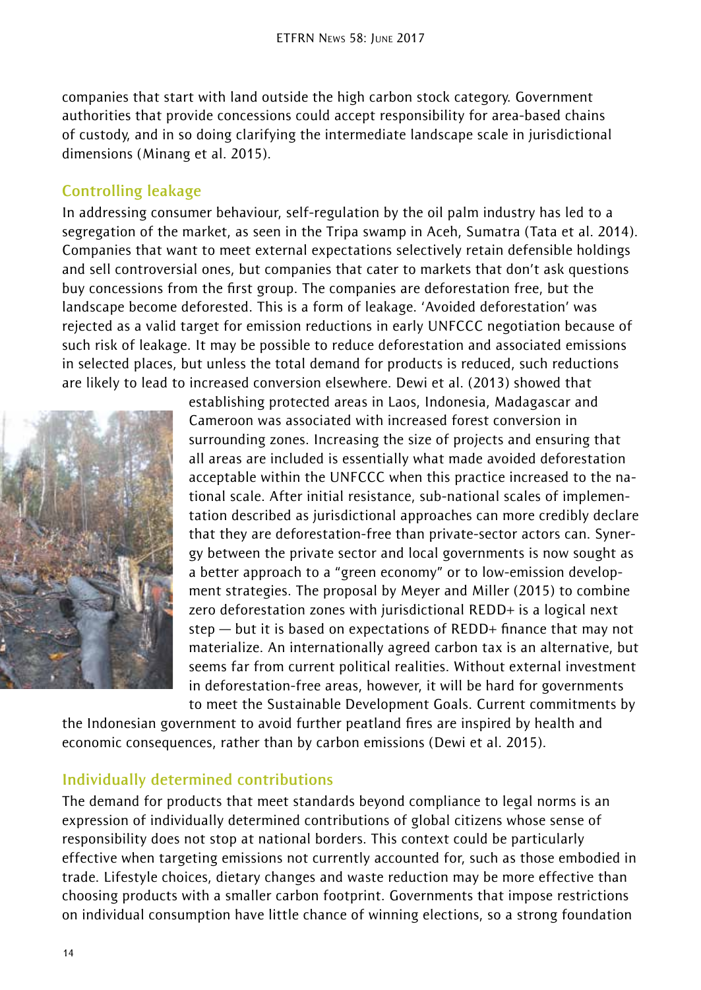companies that start with land outside the high carbon stock category. Government authorities that provide concessions could accept responsibility for area-based chains of custody, and in so doing clarifying the intermediate landscape scale in jurisdictional dimensions (Minang et al. 2015).

#### **Controlling leakage**

In addressing consumer behaviour, self-regulation by the oil palm industry has led to a segregation of the market, as seen in the Tripa swamp in Aceh, Sumatra (Tata et al. 2014). Companies that want to meet external expectations selectively retain defensible holdings and sell controversial ones, but companies that cater to markets that don't ask questions buy concessions from the first group. The companies are deforestation free, but the landscape become deforested. This is a form of leakage. 'Avoided deforestation' was rejected as a valid target for emission reductions in early UNFCCC negotiation because of such risk of leakage. It may be possible to reduce deforestation and associated emissions in selected places, but unless the total demand for products is reduced, such reductions are likely to lead to increased conversion elsewhere. Dewi et al. (2013) showed that



establishing protected areas in Laos, Indonesia, Madagascar and Cameroon was associated with increased forest conversion in surrounding zones. Increasing the size of projects and ensuring that all areas are included is essentially what made avoided deforestation acceptable within the UNFCCC when this practice increased to the national scale. After initial resistance, sub-national scales of implementation described as jurisdictional approaches can more credibly declare that they are deforestation-free than private-sector actors can. Synergy between the private sector and local governments is now sought as a better approach to a "green economy" or to low-emission development strategies. The proposal by Meyer and Miller (2015) to combine zero deforestation zones with jurisdictional REDD+ is a logical next step — but it is based on expectations of REDD+ finance that may not materialize. An internationally agreed carbon tax is an alternative, but seems far from current political realities. Without external investment in deforestation-free areas, however, it will be hard for governments to meet the Sustainable Development Goals. Current commitments by

the Indonesian government to avoid further peatland fires are inspired by health and economic consequences, rather than by carbon emissions (Dewi et al. 2015).

#### **Individually determined contributions**

The demand for products that meet standards beyond compliance to legal norms is an expression of individually determined contributions of global citizens whose sense of responsibility does not stop at national borders. This context could be particularly effective when targeting emissions not currently accounted for, such as those embodied in trade. Lifestyle choices, dietary changes and waste reduction may be more effective than choosing products with a smaller carbon footprint. Governments that impose restrictions on individual consumption have little chance of winning elections, so a strong foundation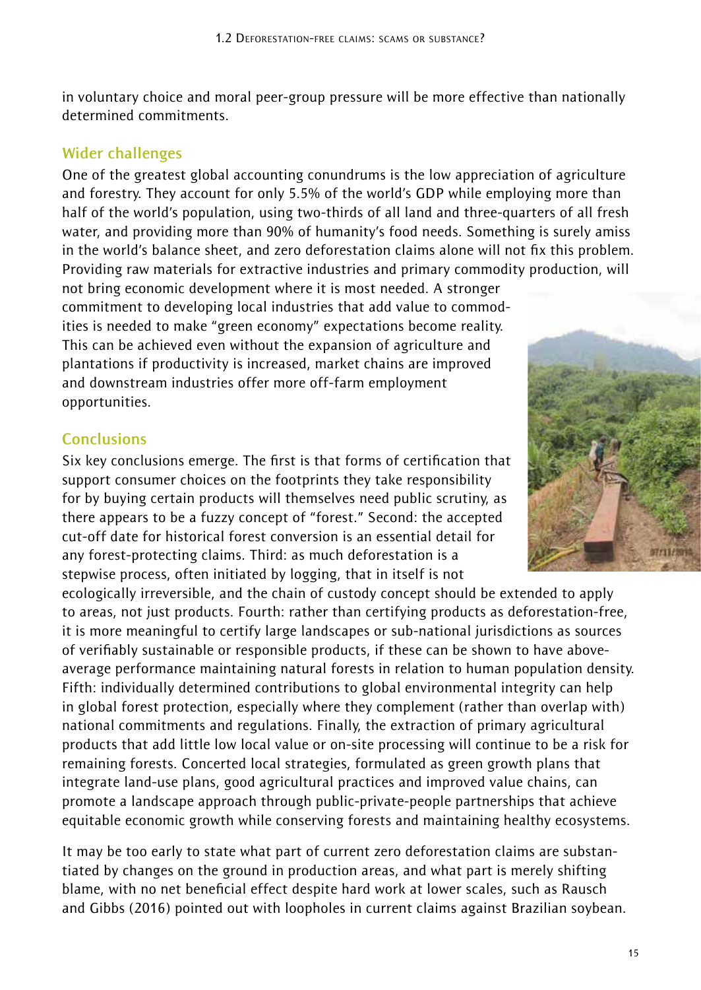in voluntary choice and moral peer-group pressure will be more effective than nationally determined commitments.

#### **Wider challenges**

One of the greatest global accounting conundrums is the low appreciation of agriculture and forestry. They account for only 5.5% of the world's GDP while employing more than half of the world's population, using two-thirds of all land and three-quarters of all fresh water, and providing more than 90% of humanity's food needs. Something is surely amiss in the world's balance sheet, and zero deforestation claims alone will not fix this problem. Providing raw materials for extractive industries and primary commodity production, will

not bring economic development where it is most needed. A stronger commitment to developing local industries that add value to commodities is needed to make "green economy" expectations become reality. This can be achieved even without the expansion of agriculture and plantations if productivity is increased, market chains are improved and downstream industries offer more off-farm employment opportunities.

## **Conclusions**

Six key conclusions emerge. The first is that forms of certification that support consumer choices on the footprints they take responsibility for by buying certain products will themselves need public scrutiny, as there appears to be a fuzzy concept of "forest." Second: the accepted cut-off date for historical forest conversion is an essential detail for any forest-protecting claims. Third: as much deforestation is a stepwise process, often initiated by logging, that in itself is not

ecologically irreversible, and the chain of custody concept should be extended to apply to areas, not just products. Fourth: rather than certifying products as deforestation-free, it is more meaningful to certify large landscapes or sub-national jurisdictions as sources of verifiably sustainable or responsible products, if these can be shown to have aboveaverage performance maintaining natural forests in relation to human population density. Fifth: individually determined contributions to global environmental integrity can help in global forest protection, especially where they complement (rather than overlap with) national commitments and regulations. Finally, the extraction of primary agricultural products that add little low local value or on-site processing will continue to be a risk for remaining forests. Concerted local strategies, formulated as green growth plans that integrate land-use plans, good agricultural practices and improved value chains, can promote a landscape approach through public-private-people partnerships that achieve equitable economic growth while conserving forests and maintaining healthy ecosystems.

It may be too early to state what part of current zero deforestation claims are substantiated by changes on the ground in production areas, and what part is merely shifting blame, with no net beneficial effect despite hard work at lower scales, such as Rausch and Gibbs (2016) pointed out with loopholes in current claims against Brazilian soybean.